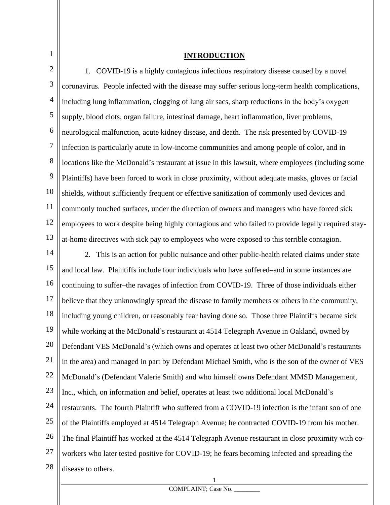#### **INTRODUCTION**

2 3 4 5 6 7 8 9 10 11 12 13 1. COVID-19 is a highly contagious infectious respiratory disease caused by a novel coronavirus. People infected with the disease may suffer serious long-term health complications, including lung inflammation, clogging of lung air sacs, sharp reductions in the body's oxygen supply, blood clots, organ failure, intestinal damage, heart inflammation, liver problems, neurological malfunction, acute kidney disease, and death. The risk presented by COVID-19 infection is particularly acute in low-income communities and among people of color, and in locations like the McDonald's restaurant at issue in this lawsuit, where employees (including some Plaintiffs) have been forced to work in close proximity, without adequate masks, gloves or facial shields, without sufficiently frequent or effective sanitization of commonly used devices and commonly touched surfaces, under the direction of owners and managers who have forced sick employees to work despite being highly contagious and who failed to provide legally required stayat-home directives with sick pay to employees who were exposed to this terrible contagion.

14 15 16 17 18 19 20 21 22 23 24 25 26 27 28 2. This is an action for public nuisance and other public-health related claims under state and local law. Plaintiffs include four individuals who have suffered–and in some instances are continuing to suffer–the ravages of infection from COVID-19. Three of those individuals either believe that they unknowingly spread the disease to family members or others in the community, including young children, or reasonably fear having done so. Those three Plaintiffs became sick while working at the McDonald's restaurant at 4514 Telegraph Avenue in Oakland, owned by Defendant VES McDonald's (which owns and operates at least two other McDonald's restaurants in the area) and managed in part by Defendant Michael Smith, who is the son of the owner of VES McDonald's (Defendant Valerie Smith) and who himself owns Defendant MMSD Management, Inc., which, on information and belief, operates at least two additional local McDonald's restaurants. The fourth Plaintiff who suffered from a COVID-19 infection is the infant son of one of the Plaintiffs employed at 4514 Telegraph Avenue; he contracted COVID-19 from his mother. The final Plaintiff has worked at the 4514 Telegraph Avenue restaurant in close proximity with coworkers who later tested positive for COVID-19; he fears becoming infected and spreading the disease to others.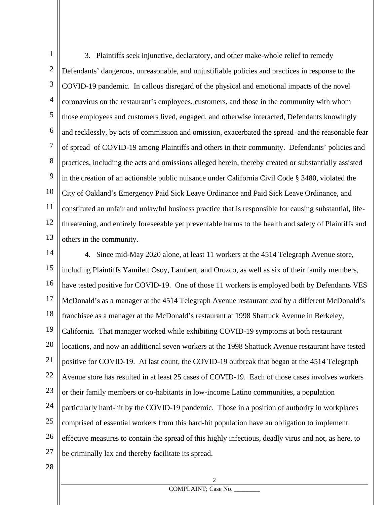1 2 3 4 5 6 7 8 9 10 11 12 13 3. Plaintiffs seek injunctive, declaratory, and other make-whole relief to remedy Defendants' dangerous, unreasonable, and unjustifiable policies and practices in response to the COVID-19 pandemic. In callous disregard of the physical and emotional impacts of the novel coronavirus on the restaurant's employees, customers, and those in the community with whom those employees and customers lived, engaged, and otherwise interacted, Defendants knowingly and recklessly, by acts of commission and omission, exacerbated the spread–and the reasonable fear of spread–of COVID-19 among Plaintiffs and others in their community. Defendants' policies and practices, including the acts and omissions alleged herein, thereby created or substantially assisted in the creation of an actionable public nuisance under California Civil Code § 3480, violated the City of Oakland's Emergency Paid Sick Leave Ordinance and Paid Sick Leave Ordinance, and constituted an unfair and unlawful business practice that is responsible for causing substantial, lifethreatening, and entirely foreseeable yet preventable harms to the health and safety of Plaintiffs and others in the community.

14 15 16 17 18 19 20 21 22 23 24 25 26 27 4. Since mid-May 2020 alone, at least 11 workers at the 4514 Telegraph Avenue store, including Plaintiffs Yamilett Osoy, Lambert, and Orozco, as well as six of their family members, have tested positive for COVID-19. One of those 11 workers is employed both by Defendants VES McDonald's as a manager at the 4514 Telegraph Avenue restaurant *and* by a different McDonald's franchisee as a manager at the McDonald's restaurant at 1998 Shattuck Avenue in Berkeley, California. That manager worked while exhibiting COVID-19 symptoms at both restaurant locations, and now an additional seven workers at the 1998 Shattuck Avenue restaurant have tested positive for COVID-19. At last count, the COVID-19 outbreak that began at the 4514 Telegraph Avenue store has resulted in at least 25 cases of COVID-19. Each of those cases involves workers or their family members or co-habitants in low-income Latino communities, a population particularly hard-hit by the COVID-19 pandemic. Those in a position of authority in workplaces comprised of essential workers from this hard-hit population have an obligation to implement effective measures to contain the spread of this highly infectious, deadly virus and not, as here, to be criminally lax and thereby facilitate its spread.

28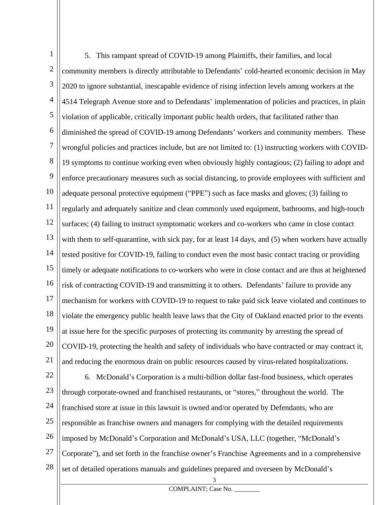1 2 3 4 5 6 7 8 9 10 11 12 13 14 15 16 17 18 19 20 21 22 5. This rampant spread of COVID-19 among Plaintiffs, their families, and local community members is directly attributable to Defendants' cold-hearted economic decision in May 2020 to ignore substantial, inescapable evidence of rising infection levels among workers at the 4514 Telegraph Avenue store and to Defendants' implementation of policies and practices, in plain violation of applicable, critically important public health orders, that facilitated rather than diminished the spread of COVID-19 among Defendants' workers and community members. These wrongful policies and practices include, but are not limited to: (1) instructing workers with COVID-19 symptoms to continue working even when obviously highly contagious; (2) failing to adopt and enforce precautionary measures such as social distancing, to provide employees with sufficient and adequate personal protective equipment ("PPE") such as face masks and gloves; (3) failing to regularly and adequately sanitize and clean commonly used equipment, bathrooms, and high-touch surfaces; (4) failing to instruct symptomatic workers and co-workers who came in close contact with them to self-quarantine, with sick pay, for at least 14 days, and (5) when workers have actually tested positive for COVID-19, failing to conduct even the most basic contact tracing or providing timely or adequate notifications to co-workers who were in close contact and are thus at heightened risk of contracting COVID-19 and transmitting it to others. Defendants' failure to provide any mechanism for workers with COVID-19 to request to take paid sick leave violated and continues to violate the emergency public health leave laws that the City of Oakland enacted prior to the events at issue here for the specific purposes of protecting its community by arresting the spread of COVID-19, protecting the health and safety of individuals who have contracted or may contract it, and reducing the enormous drain on public resources caused by virus-related hospitalizations. 6. McDonald's Corporation is a multi-billion dollar fast-food business, which operates

23 24 25 26 27 28 through corporate-owned and franchised restaurants, or "stores," throughout the world. The franchised store at issue in this lawsuit is owned and/or operated by Defendants, who are responsible as franchise owners and managers for complying with the detailed requirements imposed by McDonald's Corporation and McDonald's USA, LLC (together, "McDonald's Corporate"), and set forth in the franchise owner's Franchise Agreements and in a comprehensive set of detailed operations manuals and guidelines prepared and overseen by McDonald's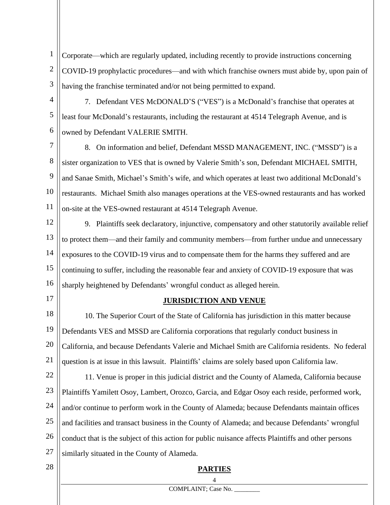1 2 3 Corporate—which are regularly updated, including recently to provide instructions concerning COVID-19 prophylactic procedures—and with which franchise owners must abide by, upon pain of having the franchise terminated and/or not being permitted to expand.

4 5

6

7. Defendant VES McDONALD'S ("VES") is a McDonald's franchise that operates at least four McDonald's restaurants, including the restaurant at 4514 Telegraph Avenue, and is owned by Defendant VALERIE SMITH.

7 8 9 10 11 8. On information and belief, Defendant MSSD MANAGEMENT, INC. ("MSSD") is a sister organization to VES that is owned by Valerie Smith's son, Defendant MICHAEL SMITH, and Sanae Smith, Michael's Smith's wife, and which operates at least two additional McDonald's restaurants. Michael Smith also manages operations at the VES-owned restaurants and has worked on-site at the VES-owned restaurant at 4514 Telegraph Avenue.

12 13 14 15 16 9. Plaintiffs seek declaratory, injunctive, compensatory and other statutorily available relief to protect them—and their family and community members—from further undue and unnecessary exposures to the COVID-19 virus and to compensate them for the harms they suffered and are continuing to suffer, including the reasonable fear and anxiety of COVID-19 exposure that was sharply heightened by Defendants' wrongful conduct as alleged herein.

17

### **JURISDICTION AND VENUE**

18 19 20 21 10. The Superior Court of the State of California has jurisdiction in this matter because Defendants VES and MSSD are California corporations that regularly conduct business in California, and because Defendants Valerie and Michael Smith are California residents. No federal question is at issue in this lawsuit. Plaintiffs' claims are solely based upon California law.

22 23 24 25 26 27 11. Venue is proper in this judicial district and the County of Alameda, California because Plaintiffs Yamilett Osoy, Lambert, Orozco, Garcia, and Edgar Osoy each reside, performed work, and/or continue to perform work in the County of Alameda; because Defendants maintain offices and facilities and transact business in the County of Alameda; and because Defendants' wrongful conduct that is the subject of this action for public nuisance affects Plaintiffs and other persons similarly situated in the County of Alameda.

28

# 4 **PARTIES**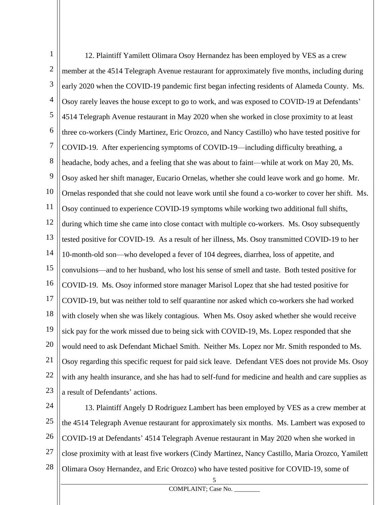1 2 3 4 5 6 7 8 9 10 11 12 13 14 15 16 17 18 19 20 21 22 23 12. Plaintiff Yamilett Olimara Osoy Hernandez has been employed by VES as a crew member at the 4514 Telegraph Avenue restaurant for approximately five months, including during early 2020 when the COVID-19 pandemic first began infecting residents of Alameda County. Ms. Osoy rarely leaves the house except to go to work, and was exposed to COVID-19 at Defendants' 4514 Telegraph Avenue restaurant in May 2020 when she worked in close proximity to at least three co-workers (Cindy Martinez, Eric Orozco, and Nancy Castillo) who have tested positive for COVID-19. After experiencing symptoms of COVID-19—including difficulty breathing, a headache, body aches, and a feeling that she was about to faint—while at work on May 20, Ms. Osoy asked her shift manager, Eucario Ornelas, whether she could leave work and go home. Mr. Ornelas responded that she could not leave work until she found a co-worker to cover her shift. Ms. Osoy continued to experience COVID-19 symptoms while working two additional full shifts, during which time she came into close contact with multiple co-workers. Ms. Osoy subsequently tested positive for COVID-19. As a result of her illness, Ms. Osoy transmitted COVID-19 to her 10-month-old son—who developed a fever of 104 degrees, diarrhea, loss of appetite, and convulsions—and to her husband, who lost his sense of smell and taste. Both tested positive for COVID-19. Ms. Osoy informed store manager Marisol Lopez that she had tested positive for COVID-19, but was neither told to self quarantine nor asked which co-workers she had worked with closely when she was likely contagious. When Ms. Osoy asked whether she would receive sick pay for the work missed due to being sick with COVID-19, Ms. Lopez responded that she would need to ask Defendant Michael Smith. Neither Ms. Lopez nor Mr. Smith responded to Ms. Osoy regarding this specific request for paid sick leave. Defendant VES does not provide Ms. Osoy with any health insurance, and she has had to self-fund for medicine and health and care supplies as a result of Defendants' actions.

24 25 26 27 28 13. Plaintiff Angely D Rodriguez Lambert has been employed by VES as a crew member at the 4514 Telegraph Avenue restaurant for approximately six months. Ms. Lambert was exposed to COVID-19 at Defendants' 4514 Telegraph Avenue restaurant in May 2020 when she worked in close proximity with at least five workers (Cindy Martinez, Nancy Castillo, Maria Orozco, Yamilett Olimara Osoy Hernandez, and Eric Orozco) who have tested positive for COVID-19, some of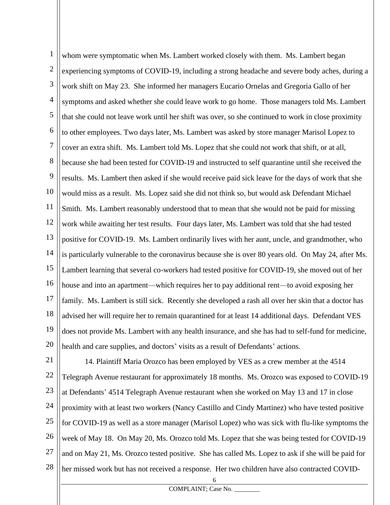1 2 3 4 5 6 7 8 9 10 11 12 13 14 15 16 17 18 19 20 whom were symptomatic when Ms. Lambert worked closely with them. Ms. Lambert began experiencing symptoms of COVID-19, including a strong headache and severe body aches, during a work shift on May 23. She informed her managers Eucario Ornelas and Gregoria Gallo of her symptoms and asked whether she could leave work to go home. Those managers told Ms. Lambert that she could not leave work until her shift was over, so she continued to work in close proximity to other employees. Two days later, Ms. Lambert was asked by store manager Marisol Lopez to cover an extra shift. Ms. Lambert told Ms. Lopez that she could not work that shift, or at all, because she had been tested for COVID-19 and instructed to self quarantine until she received the results. Ms. Lambert then asked if she would receive paid sick leave for the days of work that she would miss as a result. Ms. Lopez said she did not think so, but would ask Defendant Michael Smith. Ms. Lambert reasonably understood that to mean that she would not be paid for missing work while awaiting her test results. Four days later, Ms. Lambert was told that she had tested positive for COVID-19. Ms. Lambert ordinarily lives with her aunt, uncle, and grandmother, who is particularly vulnerable to the coronavirus because she is over 80 years old. On May 24, after Ms. Lambert learning that several co-workers had tested positive for COVID-19, she moved out of her house and into an apartment—which requires her to pay additional rent—to avoid exposing her family. Ms. Lambert is still sick. Recently she developed a rash all over her skin that a doctor has advised her will require her to remain quarantined for at least 14 additional days. Defendant VES does not provide Ms. Lambert with any health insurance, and she has had to self-fund for medicine, health and care supplies, and doctors' visits as a result of Defendants' actions.

21 22 23 24 25 26 27 28 14. Plaintiff Maria Orozco has been employed by VES as a crew member at the 4514 Telegraph Avenue restaurant for approximately 18 months. Ms. Orozco was exposed to COVID-19 at Defendants' 4514 Telegraph Avenue restaurant when she worked on May 13 and 17 in close proximity with at least two workers (Nancy Castillo and Cindy Martinez) who have tested positive for COVID-19 as well as a store manager (Marisol Lopez) who was sick with flu-like symptoms the week of May 18. On May 20, Ms. Orozco told Ms. Lopez that she was being tested for COVID-19 and on May 21, Ms. Orozco tested positive. She has called Ms. Lopez to ask if she will be paid for her missed work but has not received a response. Her two children have also contracted COVID-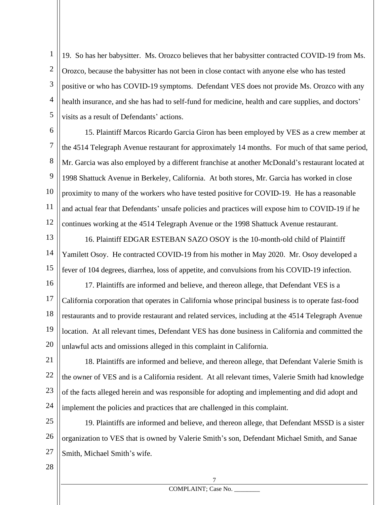1 2 3 4 5 19. So has her babysitter. Ms. Orozco believes that her babysitter contracted COVID-19 from Ms. Orozco, because the babysitter has not been in close contact with anyone else who has tested positive or who has COVID-19 symptoms. Defendant VES does not provide Ms. Orozco with any health insurance, and she has had to self-fund for medicine, health and care supplies, and doctors' visits as a result of Defendants' actions.

6 7 8 9 10 11 12 15. Plaintiff Marcos Ricardo Garcia Giron has been employed by VES as a crew member at the 4514 Telegraph Avenue restaurant for approximately 14 months. For much of that same period, Mr. Garcia was also employed by a different franchise at another McDonald's restaurant located at 1998 Shattuck Avenue in Berkeley, California. At both stores, Mr. Garcia has worked in close proximity to many of the workers who have tested positive for COVID-19. He has a reasonable and actual fear that Defendants' unsafe policies and practices will expose him to COVID-19 if he continues working at the 4514 Telegraph Avenue or the 1998 Shattuck Avenue restaurant.

13 14 15 16. Plaintiff EDGAR ESTEBAN SAZO OSOY is the 10-month-old child of Plaintiff Yamilett Osoy. He contracted COVID-19 from his mother in May 2020. Mr. Osoy developed a fever of 104 degrees, diarrhea, loss of appetite, and convulsions from his COVID-19 infection.

16 17 18 19 20 17. Plaintiffs are informed and believe, and thereon allege, that Defendant VES is a California corporation that operates in California whose principal business is to operate fast-food restaurants and to provide restaurant and related services, including at the 4514 Telegraph Avenue location. At all relevant times, Defendant VES has done business in California and committed the unlawful acts and omissions alleged in this complaint in California.

21 22 23 24 18. Plaintiffs are informed and believe, and thereon allege, that Defendant Valerie Smith is the owner of VES and is a California resident. At all relevant times, Valerie Smith had knowledge of the facts alleged herein and was responsible for adopting and implementing and did adopt and implement the policies and practices that are challenged in this complaint.

25 26 27 19. Plaintiffs are informed and believe, and thereon allege, that Defendant MSSD is a sister organization to VES that is owned by Valerie Smith's son, Defendant Michael Smith, and Sanae Smith, Michael Smith's wife.

28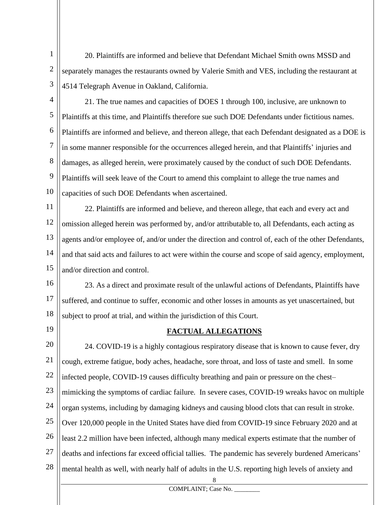1 2 3 20. Plaintiffs are informed and believe that Defendant Michael Smith owns MSSD and separately manages the restaurants owned by Valerie Smith and VES, including the restaurant at 4514 Telegraph Avenue in Oakland, California.

4

5 6 7 8 9 10 21. The true names and capacities of DOES 1 through 100, inclusive, are unknown to Plaintiffs at this time, and Plaintiffs therefore sue such DOE Defendants under fictitious names. Plaintiffs are informed and believe, and thereon allege, that each Defendant designated as a DOE is in some manner responsible for the occurrences alleged herein, and that Plaintiffs' injuries and damages, as alleged herein, were proximately caused by the conduct of such DOE Defendants. Plaintiffs will seek leave of the Court to amend this complaint to allege the true names and capacities of such DOE Defendants when ascertained.

11 12 13 14 15 22. Plaintiffs are informed and believe, and thereon allege, that each and every act and omission alleged herein was performed by, and/or attributable to, all Defendants, each acting as agents and/or employee of, and/or under the direction and control of, each of the other Defendants, and that said acts and failures to act were within the course and scope of said agency, employment, and/or direction and control.

16 17 18 23. As a direct and proximate result of the unlawful actions of Defendants, Plaintiffs have suffered, and continue to suffer, economic and other losses in amounts as yet unascertained, but subject to proof at trial, and within the jurisdiction of this Court.

19

### **FACTUAL ALLEGATIONS**

20 21 22 23 24 25 26 27 28 24. COVID-19 is a highly contagious respiratory disease that is known to cause fever, dry cough, extreme fatigue, body aches, headache, sore throat, and loss of taste and smell. In some infected people, COVID-19 causes difficulty breathing and pain or pressure on the chest– mimicking the symptoms of cardiac failure. In severe cases, COVID-19 wreaks havoc on multiple organ systems, including by damaging kidneys and causing blood clots that can result in stroke. Over 120,000 people in the United States have died from COVID-19 since February 2020 and at least 2.2 million have been infected, although many medical experts estimate that the number of deaths and infections far exceed official tallies. The pandemic has severely burdened Americans' mental health as well, with nearly half of adults in the U.S. reporting high levels of anxiety and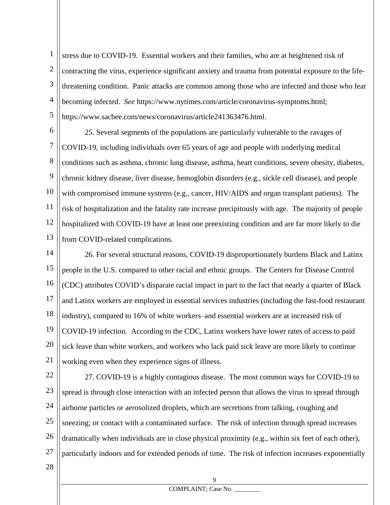1 2 3 4 5 stress due to COVID-19. Essential workers and their families, who are at heightened risk of contracting the virus, experience significant anxiety and trauma from potential exposure to the lifethreatening condition. Panic attacks are common among those who are infected and those who fear becoming infected. *See* https://www.nytimes.com/article/coronavirus-symptoms.html; https://www.sacbee.com/news/coronavirus/article241363476.html.

6 7 8 9 10 11 12 13 25. Several segments of the populations are particularly vulnerable to the ravages of COVID-19, including individuals over 65 years of age and people with underlying medical conditions such as asthma, chronic lung disease, asthma, heart conditions, severe obesity, diabetes, chronic kidney disease, liver disease, hemoglobin disorders (e.g., sickle cell disease), and people with compromised immune systems (e.g., cancer, HIV/AIDS and organ transplant patients). The risk of hospitalization and the fatality rate increase precipitously with age. The majority of people hospitalized with COVID-19 have at least one preexisting condition and are far more likely to die from COVID-related complications.

14 15 16 17 18 19 20 21 26. For several structural reasons, COVID-19 disproportionately burdens Black and Latinx people in the U.S. compared to other racial and ethnic groups. The Centers for Disease Control (CDC) attributes COVID's disparate racial impact in part to the fact that nearly a quarter of Black and Latinx workers are employed in essential services industries (including the fast-food restaurant industry), compared to 16% of white workers–and essential workers are at increased risk of COVID-19 infection. According to the CDC, Latinx workers have lower rates of access to paid sick leave than white workers, and workers who lack paid sick leave are more likely to continue working even when they experience signs of illness.

22 23 24 25 26 27 27. COVID-19 is a highly contagious disease. The most common ways for COVID-19 to spread is through close interaction with an infected person that allows the virus to spread through airborne particles or aerosolized droplets, which are secretions from talking, coughing and sneezing; or contact with a contaminated surface. The risk of infection through spread increases dramatically when individuals are in close physical proximity (e.g., within six feet of each other), particularly indoors and for extended periods of time. The risk of infection increases exponentially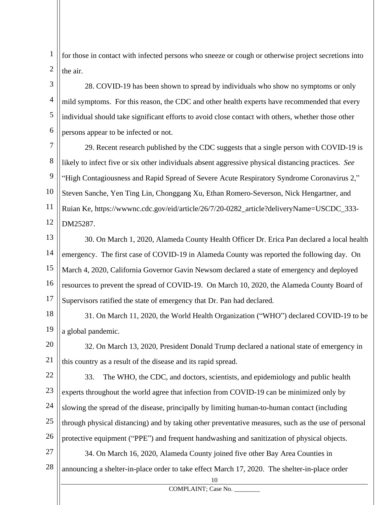1 2 for those in contact with infected persons who sneeze or cough or otherwise project secretions into the air.

3 4 5 6 28. COVID-19 has been shown to spread by individuals who show no symptoms or only mild symptoms. For this reason, the CDC and other health experts have recommended that every individual should take significant efforts to avoid close contact with others, whether those other persons appear to be infected or not.

7 8 9 10 11 12 29. Recent research published by the CDC suggests that a single person with COVID-19 is likely to infect five or six other individuals absent aggressive physical distancing practices. *See* "High Contagiousness and Rapid Spread of Severe Acute Respiratory Syndrome Coronavirus 2," Steven Sanche, Yen Ting Lin, Chonggang Xu, Ethan Romero-Severson, Nick Hengartner, and Ruian Ke, https://wwwnc.cdc.gov/eid/article/26/7/20-0282\_article?deliveryName=USCDC\_333- DM25287.

13 14 15 16 17 30. On March 1, 2020, Alameda County Health Officer Dr. Erica Pan declared a local health emergency. The first case of COVID-19 in Alameda County was reported the following day. On March 4, 2020, California Governor Gavin Newsom declared a state of emergency and deployed resources to prevent the spread of COVID-19. On March 10, 2020, the Alameda County Board of Supervisors ratified the state of emergency that Dr. Pan had declared.

18 19 31. On March 11, 2020, the World Health Organization ("WHO") declared COVID-19 to be a global pandemic.

20 21 32. On March 13, 2020, President Donald Trump declared a national state of emergency in this country as a result of the disease and its rapid spread.

22 23 24 25 26 33. The WHO, the CDC, and doctors, scientists, and epidemiology and public health experts throughout the world agree that infection from COVID-19 can be minimized only by slowing the spread of the disease, principally by limiting human-to-human contact (including through physical distancing) and by taking other preventative measures, such as the use of personal protective equipment ("PPE") and frequent handwashing and sanitization of physical objects.

27 28 34. On March 16, 2020, Alameda County joined five other Bay Area Counties in announcing a shelter-in-place order to take effect March 17, 2020. The shelter-in-place order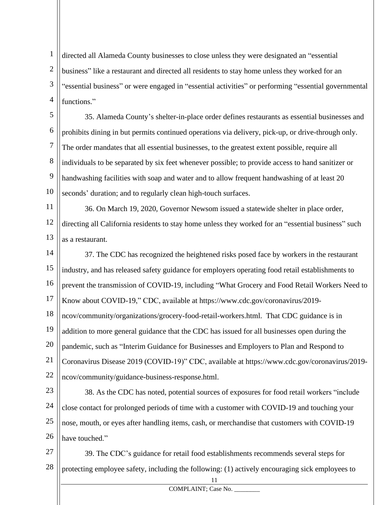1 2 3 4 directed all Alameda County businesses to close unless they were designated an "essential business" like a restaurant and directed all residents to stay home unless they worked for an "essential business" or were engaged in "essential activities" or performing "essential governmental functions."

5 6 7 8 9 10 35. Alameda County's shelter-in-place order defines restaurants as essential businesses and prohibits dining in but permits continued operations via delivery, pick-up, or drive-through only. The order mandates that all essential businesses, to the greatest extent possible, require all individuals to be separated by six feet whenever possible; to provide access to hand sanitizer or handwashing facilities with soap and water and to allow frequent handwashing of at least 20 seconds' duration; and to regularly clean high-touch surfaces.

11 12 13 36. On March 19, 2020, Governor Newsom issued a statewide shelter in place order, directing all California residents to stay home unless they worked for an "essential business" such as a restaurant.

14 15 16 17 18 37. The CDC has recognized the heightened risks posed face by workers in the restaurant industry, and has released safety guidance for employers operating food retail establishments to prevent the transmission of COVID-19, including "What Grocery and Food Retail Workers Need to Know about COVID-19," CDC, available at https://www.cdc.gov/coronavirus/2019 ncov/community/organizations/grocery-food-retail-workers.html. That CDC guidance is in

19 addition to more general guidance that the CDC has issued for all businesses open during the

20 pandemic, such as "Interim Guidance for Businesses and Employers to Plan and Respond to

21 Coronavirus Disease 2019 (COVID-19)" CDC, available at https://www.cdc.gov/coronavirus/2019-

22 ncov/community/guidance-business-response.html.

23 24 25 26 38. As the CDC has noted, potential sources of exposures for food retail workers "include close contact for prolonged periods of time with a customer with COVID-19 and touching your nose, mouth, or eyes after handling items, cash, or merchandise that customers with COVID-19 have touched."

27 28 39. The CDC's guidance for retail food establishments recommends several steps for protecting employee safety, including the following: (1) actively encouraging sick employees to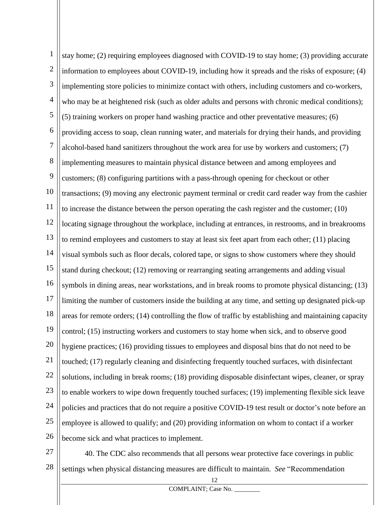1 2 3 4 5 6 7 8 9 10 11 12 13 14 15 16 17 18 19 20 21 22 23 24 25 26 stay home; (2) requiring employees diagnosed with COVID-19 to stay home; (3) providing accurate information to employees about COVID-19, including how it spreads and the risks of exposure; (4) implementing store policies to minimize contact with others, including customers and co-workers, who may be at heightened risk (such as older adults and persons with chronic medical conditions); (5) training workers on proper hand washing practice and other preventative measures; (6) providing access to soap, clean running water, and materials for drying their hands, and providing alcohol-based hand sanitizers throughout the work area for use by workers and customers; (7) implementing measures to maintain physical distance between and among employees and customers; (8) configuring partitions with a pass-through opening for checkout or other transactions; (9) moving any electronic payment terminal or credit card reader way from the cashier to increase the distance between the person operating the cash register and the customer; (10) locating signage throughout the workplace, including at entrances, in restrooms, and in breakrooms to remind employees and customers to stay at least six feet apart from each other; (11) placing visual symbols such as floor decals, colored tape, or signs to show customers where they should stand during checkout; (12) removing or rearranging seating arrangements and adding visual symbols in dining areas, near workstations, and in break rooms to promote physical distancing; (13) limiting the number of customers inside the building at any time, and setting up designated pick-up areas for remote orders; (14) controlling the flow of traffic by establishing and maintaining capacity control; (15) instructing workers and customers to stay home when sick, and to observe good hygiene practices; (16) providing tissues to employees and disposal bins that do not need to be touched; (17) regularly cleaning and disinfecting frequently touched surfaces, with disinfectant solutions, including in break rooms; (18) providing disposable disinfectant wipes, cleaner, or spray to enable workers to wipe down frequently touched surfaces; (19) implementing flexible sick leave policies and practices that do not require a positive COVID-19 test result or doctor's note before an employee is allowed to qualify; and (20) providing information on whom to contact if a worker become sick and what practices to implement.

27 28 40. The CDC also recommends that all persons wear protective face coverings in public settings when physical distancing measures are difficult to maintain. *See* "Recommendation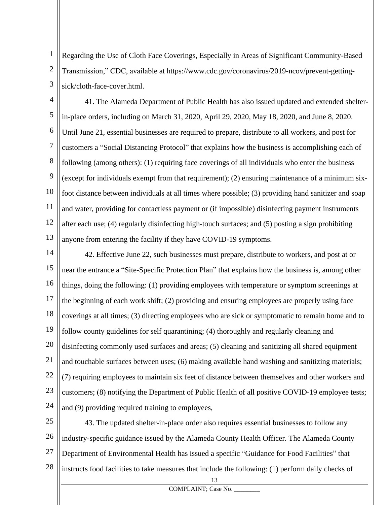1 2 3 Regarding the Use of Cloth Face Coverings, Especially in Areas of Significant Community-Based Transmission," CDC, available at https://www.cdc.gov/coronavirus/2019-ncov/prevent-gettingsick/cloth-face-cover.html.

4 5 6 7 8 9 10 11 12 13 41. The Alameda Department of Public Health has also issued updated and extended shelterin-place orders, including on March 31, 2020, April 29, 2020, May 18, 2020, and June 8, 2020. Until June 21, essential businesses are required to prepare, distribute to all workers, and post for customers a "Social Distancing Protocol" that explains how the business is accomplishing each of following (among others): (1) requiring face coverings of all individuals who enter the business (except for individuals exempt from that requirement); (2) ensuring maintenance of a minimum sixfoot distance between individuals at all times where possible; (3) providing hand sanitizer and soap and water, providing for contactless payment or (if impossible) disinfecting payment instruments after each use; (4) regularly disinfecting high-touch surfaces; and (5) posting a sign prohibiting anyone from entering the facility if they have COVID-19 symptoms.

14 15 16 17 18 19 20 21 22 23 24 42. Effective June 22, such businesses must prepare, distribute to workers, and post at or near the entrance a "Site-Specific Protection Plan" that explains how the business is, among other things, doing the following: (1) providing employees with temperature or symptom screenings at the beginning of each work shift; (2) providing and ensuring employees are properly using face coverings at all times; (3) directing employees who are sick or symptomatic to remain home and to follow county guidelines for self quarantining; (4) thoroughly and regularly cleaning and disinfecting commonly used surfaces and areas; (5) cleaning and sanitizing all shared equipment and touchable surfaces between uses; (6) making available hand washing and sanitizing materials; (7) requiring employees to maintain six feet of distance between themselves and other workers and customers; (8) notifying the Department of Public Health of all positive COVID-19 employee tests; and (9) providing required training to employees,

25 26 27 28 43. The updated shelter-in-place order also requires essential businesses to follow any industry-specific guidance issued by the Alameda County Health Officer. The Alameda County Department of Environmental Health has issued a specific "Guidance for Food Facilities" that instructs food facilities to take measures that include the following: (1) perform daily checks of

13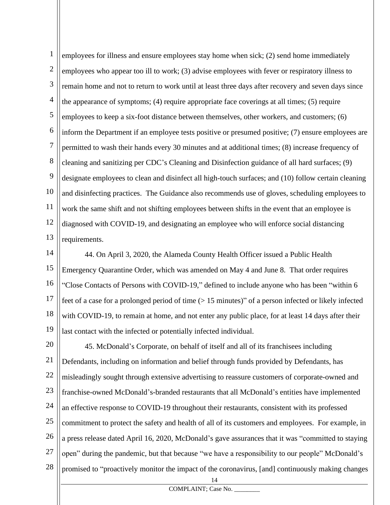1 2 3 4 5 6 7 8 9 10 11 12 13 employees for illness and ensure employees stay home when sick; (2) send home immediately employees who appear too ill to work; (3) advise employees with fever or respiratory illness to remain home and not to return to work until at least three days after recovery and seven days since the appearance of symptoms; (4) require appropriate face coverings at all times; (5) require employees to keep a six-foot distance between themselves, other workers, and customers; (6) inform the Department if an employee tests positive or presumed positive; (7) ensure employees are permitted to wash their hands every 30 minutes and at additional times; (8) increase frequency of cleaning and sanitizing per CDC's Cleaning and Disinfection guidance of all hard surfaces; (9) designate employees to clean and disinfect all high-touch surfaces; and (10) follow certain cleaning and disinfecting practices. The Guidance also recommends use of gloves, scheduling employees to work the same shift and not shifting employees between shifts in the event that an employee is diagnosed with COVID-19, and designating an employee who will enforce social distancing requirements.

14 15 16 17 18 19 44. On April 3, 2020, the Alameda County Health Officer issued a Public Health Emergency Quarantine Order, which was amended on May 4 and June 8. That order requires "Close Contacts of Persons with COVID-19," defined to include anyone who has been "within 6 feet of a case for a prolonged period of time (> 15 minutes)" of a person infected or likely infected with COVID-19, to remain at home, and not enter any public place, for at least 14 days after their last contact with the infected or potentially infected individual.

20 21 22 23 24 25 26 27 28 45. McDonald's Corporate, on behalf of itself and all of its franchisees including Defendants, including on information and belief through funds provided by Defendants, has misleadingly sought through extensive advertising to reassure customers of corporate-owned and franchise-owned McDonald's-branded restaurants that all McDonald's entities have implemented an effective response to COVID-19 throughout their restaurants, consistent with its professed commitment to protect the safety and health of all of its customers and employees. For example, in a press release dated April 16, 2020, McDonald's gave assurances that it was "committed to staying open" during the pandemic, but that because "we have a responsibility to our people" McDonald's promised to "proactively monitor the impact of the coronavirus, [and] continuously making changes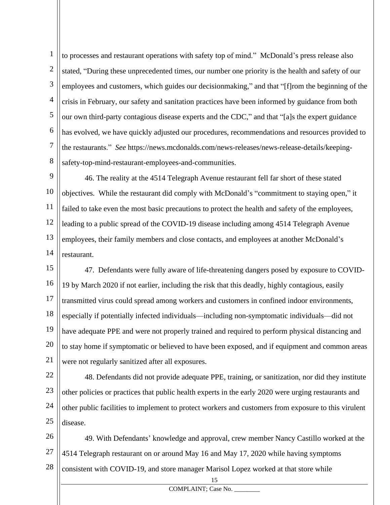1 2 3 4 5 6 7 8 to processes and restaurant operations with safety top of mind." McDonald's press release also stated, "During these unprecedented times, our number one priority is the health and safety of our employees and customers, which guides our decisionmaking," and that "[f]rom the beginning of the crisis in February, our safety and sanitation practices have been informed by guidance from both our own third-party contagious disease experts and the CDC," and that "[a]s the expert guidance has evolved, we have quickly adjusted our procedures, recommendations and resources provided to the restaurants." *See* https://news.mcdonalds.com/news-releases/news-release-details/keepingsafety-top-mind-restaurant-employees-and-communities.

9 10 11 12 13 14 46. The reality at the 4514 Telegraph Avenue restaurant fell far short of these stated objectives. While the restaurant did comply with McDonald's "commitment to staying open," it failed to take even the most basic precautions to protect the health and safety of the employees, leading to a public spread of the COVID-19 disease including among 4514 Telegraph Avenue employees, their family members and close contacts, and employees at another McDonald's restaurant.

15 16 17 18 19 20 21 47. Defendants were fully aware of life-threatening dangers posed by exposure to COVID-19 by March 2020 if not earlier, including the risk that this deadly, highly contagious, easily transmitted virus could spread among workers and customers in confined indoor environments, especially if potentially infected individuals—including non-symptomatic individuals—did not have adequate PPE and were not properly trained and required to perform physical distancing and to stay home if symptomatic or believed to have been exposed, and if equipment and common areas were not regularly sanitized after all exposures.

22 23 24 25 48. Defendants did not provide adequate PPE, training, or sanitization, nor did they institute other policies or practices that public health experts in the early 2020 were urging restaurants and other public facilities to implement to protect workers and customers from exposure to this virulent disease.

26 27 28 49. With Defendants' knowledge and approval, crew member Nancy Castillo worked at the 4514 Telegraph restaurant on or around May 16 and May 17, 2020 while having symptoms consistent with COVID-19, and store manager Marisol Lopez worked at that store while

15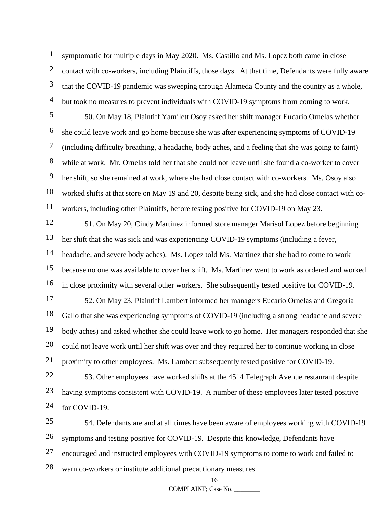1 2 3 4 symptomatic for multiple days in May 2020. Ms. Castillo and Ms. Lopez both came in close contact with co-workers, including Plaintiffs, those days. At that time, Defendants were fully aware that the COVID-19 pandemic was sweeping through Alameda County and the country as a whole, but took no measures to prevent individuals with COVID-19 symptoms from coming to work.

5 6 7 8 9 10 11 50. On May 18, Plaintiff Yamilett Osoy asked her shift manager Eucario Ornelas whether she could leave work and go home because she was after experiencing symptoms of COVID-19 (including difficulty breathing, a headache, body aches, and a feeling that she was going to faint) while at work. Mr. Ornelas told her that she could not leave until she found a co-worker to cover her shift, so she remained at work, where she had close contact with co-workers. Ms. Osoy also worked shifts at that store on May 19 and 20, despite being sick, and she had close contact with coworkers, including other Plaintiffs, before testing positive for COVID-19 on May 23.

12 13 14 15 16 51. On May 20, Cindy Martinez informed store manager Marisol Lopez before beginning her shift that she was sick and was experiencing COVID-19 symptoms (including a fever, headache, and severe body aches). Ms. Lopez told Ms. Martinez that she had to come to work because no one was available to cover her shift. Ms. Martinez went to work as ordered and worked in close proximity with several other workers. She subsequently tested positive for COVID-19.

17 18 19 20 21 52. On May 23, Plaintiff Lambert informed her managers Eucario Ornelas and Gregoria Gallo that she was experiencing symptoms of COVID-19 (including a strong headache and severe body aches) and asked whether she could leave work to go home. Her managers responded that she could not leave work until her shift was over and they required her to continue working in close proximity to other employees. Ms. Lambert subsequently tested positive for COVID-19.

22 23 24 53. Other employees have worked shifts at the 4514 Telegraph Avenue restaurant despite having symptoms consistent with COVID-19. A number of these employees later tested positive for COVID-19.

25 26 27 28 54. Defendants are and at all times have been aware of employees working with COVID-19 symptoms and testing positive for COVID-19. Despite this knowledge, Defendants have encouraged and instructed employees with COVID-19 symptoms to come to work and failed to warn co-workers or institute additional precautionary measures.

16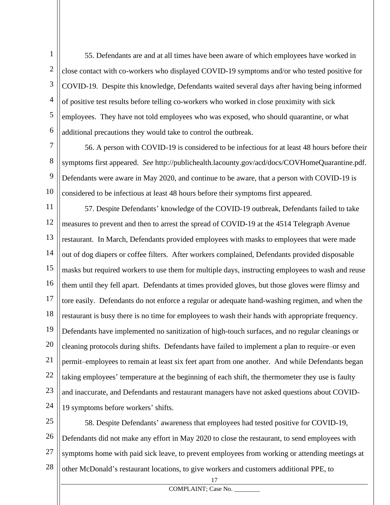1 2 3 4 5 6 55. Defendants are and at all times have been aware of which employees have worked in close contact with co-workers who displayed COVID-19 symptoms and/or who tested positive for COVID-19. Despite this knowledge, Defendants waited several days after having being informed of positive test results before telling co-workers who worked in close proximity with sick employees. They have not told employees who was exposed, who should quarantine, or what additional precautions they would take to control the outbreak.

7 8 9 10 56. A person with COVID-19 is considered to be infectious for at least 48 hours before their symptoms first appeared. *See* http://publichealth.lacounty.gov/acd/docs/COVHomeQuarantine.pdf. Defendants were aware in May 2020, and continue to be aware, that a person with COVID-19 is considered to be infectious at least 48 hours before their symptoms first appeared.

11 12 13 14 15 16 17 18 19 20 21 22 23 24 57. Despite Defendants' knowledge of the COVID-19 outbreak, Defendants failed to take measures to prevent and then to arrest the spread of COVID-19 at the 4514 Telegraph Avenue restaurant. In March, Defendants provided employees with masks to employees that were made out of dog diapers or coffee filters. After workers complained, Defendants provided disposable masks but required workers to use them for multiple days, instructing employees to wash and reuse them until they fell apart. Defendants at times provided gloves, but those gloves were flimsy and tore easily. Defendants do not enforce a regular or adequate hand-washing regimen, and when the restaurant is busy there is no time for employees to wash their hands with appropriate frequency. Defendants have implemented no sanitization of high-touch surfaces, and no regular cleanings or cleaning protocols during shifts. Defendants have failed to implement a plan to require–or even permit–employees to remain at least six feet apart from one another. And while Defendants began taking employees' temperature at the beginning of each shift, the thermometer they use is faulty and inaccurate, and Defendants and restaurant managers have not asked questions about COVID-19 symptoms before workers' shifts.

25 26 27 28 58. Despite Defendants' awareness that employees had tested positive for COVID-19, Defendants did not make any effort in May 2020 to close the restaurant, to send employees with symptoms home with paid sick leave, to prevent employees from working or attending meetings at other McDonald's restaurant locations, to give workers and customers additional PPE, to

17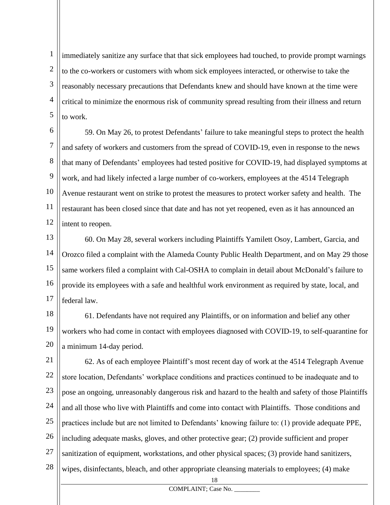1 2 3 4 5 immediately sanitize any surface that that sick employees had touched, to provide prompt warnings to the co-workers or customers with whom sick employees interacted, or otherwise to take the reasonably necessary precautions that Defendants knew and should have known at the time were critical to minimize the enormous risk of community spread resulting from their illness and return to work.

6 7 8 9 10 11 12 59. On May 26, to protest Defendants' failure to take meaningful steps to protect the health and safety of workers and customers from the spread of COVID-19, even in response to the news that many of Defendants' employees had tested positive for COVID-19, had displayed symptoms at work, and had likely infected a large number of co-workers, employees at the 4514 Telegraph Avenue restaurant went on strike to protest the measures to protect worker safety and health. The restaurant has been closed since that date and has not yet reopened, even as it has announced an intent to reopen.

13 14 15 16 17 60. On May 28, several workers including Plaintiffs Yamilett Osoy, Lambert, Garcia, and Orozco filed a complaint with the Alameda County Public Health Department, and on May 29 those same workers filed a complaint with Cal-OSHA to complain in detail about McDonald's failure to provide its employees with a safe and healthful work environment as required by state, local, and federal law.

18 19 20 61. Defendants have not required any Plaintiffs, or on information and belief any other workers who had come in contact with employees diagnosed with COVID-19, to self-quarantine for a minimum 14-day period.

21 22 23 24 25 26 27 28 62. As of each employee Plaintiff's most recent day of work at the 4514 Telegraph Avenue store location, Defendants' workplace conditions and practices continued to be inadequate and to pose an ongoing, unreasonably dangerous risk and hazard to the health and safety of those Plaintiffs and all those who live with Plaintiffs and come into contact with Plaintiffs. Those conditions and practices include but are not limited to Defendants' knowing failure to: (1) provide adequate PPE, including adequate masks, gloves, and other protective gear; (2) provide sufficient and proper sanitization of equipment, workstations, and other physical spaces; (3) provide hand sanitizers, wipes, disinfectants, bleach, and other appropriate cleansing materials to employees; (4) make

18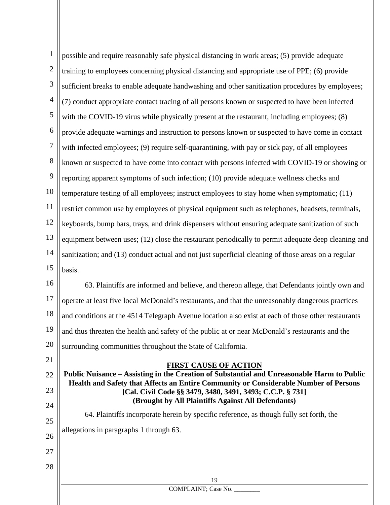| $\mathbf{1}$     | possible and require reasonably safe physical distancing in work areas; (5) provide adequate                                                                                       |
|------------------|------------------------------------------------------------------------------------------------------------------------------------------------------------------------------------|
| $\overline{2}$   | training to employees concerning physical distancing and appropriate use of PPE; (6) provide                                                                                       |
| $\mathfrak{Z}$   | sufficient breaks to enable adequate handwashing and other sanitization procedures by employees;                                                                                   |
| $\overline{4}$   | (7) conduct appropriate contact tracing of all persons known or suspected to have been infected                                                                                    |
| $\mathfrak{S}$   | with the COVID-19 virus while physically present at the restaurant, including employees; (8)                                                                                       |
| 6                | provide adequate warnings and instruction to persons known or suspected to have come in contact                                                                                    |
| $\boldsymbol{7}$ | with infected employees; (9) require self-quarantining, with pay or sick pay, of all employees                                                                                     |
| 8                | known or suspected to have come into contact with persons infected with COVID-19 or showing or                                                                                     |
| 9                | reporting apparent symptoms of such infection; (10) provide adequate wellness checks and                                                                                           |
| 10               | temperature testing of all employees; instruct employees to stay home when symptomatic; (11)                                                                                       |
| 11               | restrict common use by employees of physical equipment such as telephones, headsets, terminals,                                                                                    |
| 12               | keyboards, bump bars, trays, and drink dispensers without ensuring adequate sanitization of such                                                                                   |
| 13               | equipment between uses; (12) close the restaurant periodically to permit adequate deep cleaning and                                                                                |
| 14               | sanitization; and (13) conduct actual and not just superficial cleaning of those areas on a regular                                                                                |
| 15               | basis.                                                                                                                                                                             |
| 16               | 63. Plaintiffs are informed and believe, and thereon allege, that Defendants jointly own and                                                                                       |
| 17               | operate at least five local McDonald's restaurants, and that the unreasonably dangerous practices                                                                                  |
| 18               | and conditions at the 4514 Telegraph Avenue location also exist at each of those other restaurants                                                                                 |
| 19               | and thus threaten the health and safety of the public at or near McDonald's restaurants and the                                                                                    |
| 20               | surrounding communities throughout the State of California.                                                                                                                        |
| 21               | <b>FIRST CAUSE OF ACTION</b>                                                                                                                                                       |
| 22               | Public Nuisance – Assisting in the Creation of Substantial and Unreasonable Harm to Public<br>Health and Safety that Affects an Entire Community or Considerable Number of Persons |
| 23               | [Cal. Civil Code §§ 3479, 3480, 3491, 3493; C.C.P. § 731]                                                                                                                          |
| 24               | (Brought by All Plaintiffs Against All Defendants)<br>64. Plaintiffs incorporate herein by specific reference, as though fully set forth, the                                      |
| 25               |                                                                                                                                                                                    |
| 26               | allegations in paragraphs 1 through 63.                                                                                                                                            |
| 27               |                                                                                                                                                                                    |
| 28               |                                                                                                                                                                                    |
|                  | 19<br>COMPLAINT; Case No.                                                                                                                                                          |
|                  |                                                                                                                                                                                    |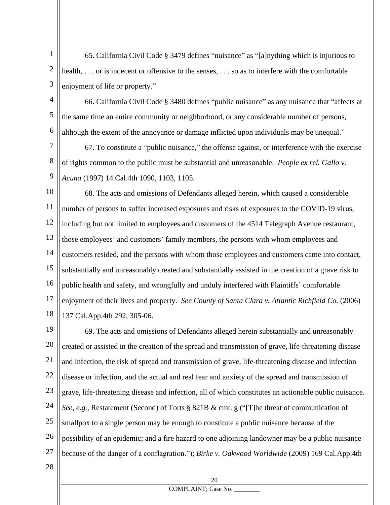1 2 3 65. California Civil Code § 3479 defines "nuisance" as "[a]nything which is injurious to health, ... or is indecent or offensive to the senses, ... so as to interfere with the comfortable enjoyment of life or property."

4

5

6

66. California Civil Code § 3480 defines "public nuisance" as any nuisance that "affects at the same time an entire community or neighborhood, or any considerable number of persons, although the extent of the annoyance or damage inflicted upon individuals may be unequal."

7 8 9 67. To constitute a "public nuisance," the offense against, or interference with the exercise of rights common to the public must be substantial and unreasonable. *People ex rel. Gallo v. Acuna* (1997) 14 Cal.4th 1090, 1103, 1105.

10 11 12 13 14 15 16 17 18 68. The acts and omissions of Defendants alleged herein, which caused a considerable number of persons to suffer increased exposures and risks of exposures to the COVID-19 virus, including but not limited to employees and customers of the 4514 Telegraph Avenue restaurant, those employees' and customers' family members, the persons with whom employees and customers resided, and the persons with whom those employees and customers came into contact, substantially and unreasonably created and substantially assisted in the creation of a grave risk to public health and safety, and wrongfully and unduly interfered with Plaintiffs' comfortable enjoyment of their lives and property. *See County of Santa Clara v. Atlantic Richfield Co.* (2006) 137 Cal.App.4th 292, 305-06.

19 20 21 22 23 24 25 26 27 69. The acts and omissions of Defendants alleged herein substantially and unreasonably created or assisted in the creation of the spread and transmission of grave, life-threatening disease and infection, the risk of spread and transmission of grave, life-threatening disease and infection disease or infection, and the actual and real fear and anxiety of the spread and transmission of grave, life-threatening disease and infection, all of which constitutes an actionable public nuisance. *See, e.g.*, Restatement (Second) of Torts § 821B & cmt. g ("[T]he threat of communication of smallpox to a single person may be enough to constitute a public nuisance because of the possibility of an epidemic; and a fire hazard to one adjoining landowner may be a public nuisance because of the danger of a conflagration."); *Birke v. Oakwood Worldwide* (2009) 169 Cal.App.4th

28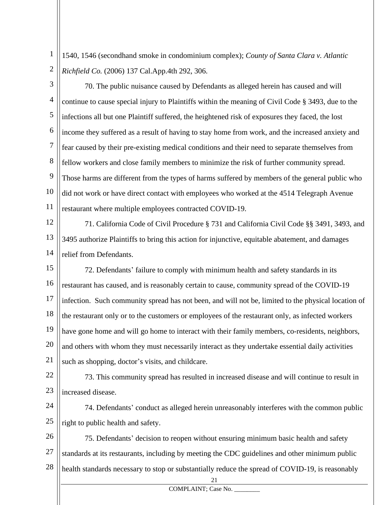1 2 1540, 1546 (secondhand smoke in condominium complex); *County of Santa Clara v. Atlantic Richfield Co.* (2006) 137 Cal.App.4th 292, 306.

3

4 5 6 7 8 9 10 11 70. The public nuisance caused by Defendants as alleged herein has caused and will continue to cause special injury to Plaintiffs within the meaning of Civil Code § 3493, due to the infections all but one Plaintiff suffered, the heightened risk of exposures they faced, the lost income they suffered as a result of having to stay home from work, and the increased anxiety and fear caused by their pre-existing medical conditions and their need to separate themselves from fellow workers and close family members to minimize the risk of further community spread. Those harms are different from the types of harms suffered by members of the general public who did not work or have direct contact with employees who worked at the 4514 Telegraph Avenue restaurant where multiple employees contracted COVID-19.

12 13 14 71. California Code of Civil Procedure § 731 and California Civil Code §§ 3491, 3493, and 3495 authorize Plaintiffs to bring this action for injunctive, equitable abatement, and damages relief from Defendants.

15 16 17 18 19 20 21 72. Defendants' failure to comply with minimum health and safety standards in its restaurant has caused, and is reasonably certain to cause, community spread of the COVID-19 infection. Such community spread has not been, and will not be, limited to the physical location of the restaurant only or to the customers or employees of the restaurant only, as infected workers have gone home and will go home to interact with their family members, co-residents, neighbors, and others with whom they must necessarily interact as they undertake essential daily activities such as shopping, doctor's visits, and childcare.

22 23 73. This community spread has resulted in increased disease and will continue to result in increased disease.

24 25 74. Defendants' conduct as alleged herein unreasonably interferes with the common public right to public health and safety.

26 27 28 75. Defendants' decision to reopen without ensuring minimum basic health and safety standards at its restaurants, including by meeting the CDC guidelines and other minimum public health standards necessary to stop or substantially reduce the spread of COVID-19, is reasonably

21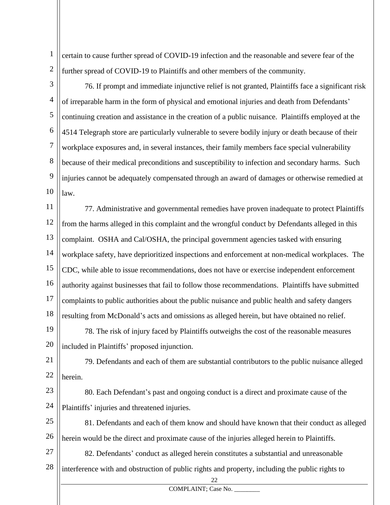1 2 certain to cause further spread of COVID-19 infection and the reasonable and severe fear of the further spread of COVID-19 to Plaintiffs and other members of the community.

3

4 5 6 7 8 9 10 76. If prompt and immediate injunctive relief is not granted, Plaintiffs face a significant risk of irreparable harm in the form of physical and emotional injuries and death from Defendants' continuing creation and assistance in the creation of a public nuisance. Plaintiffs employed at the 4514 Telegraph store are particularly vulnerable to severe bodily injury or death because of their workplace exposures and, in several instances, their family members face special vulnerability because of their medical preconditions and susceptibility to infection and secondary harms. Such injuries cannot be adequately compensated through an award of damages or otherwise remedied at law.

11 12 13 14 15 16 17 18 77. Administrative and governmental remedies have proven inadequate to protect Plaintiffs from the harms alleged in this complaint and the wrongful conduct by Defendants alleged in this complaint. OSHA and Cal/OSHA, the principal government agencies tasked with ensuring workplace safety, have deprioritized inspections and enforcement at non-medical workplaces. The CDC, while able to issue recommendations, does not have or exercise independent enforcement authority against businesses that fail to follow those recommendations. Plaintiffs have submitted complaints to public authorities about the public nuisance and public health and safety dangers resulting from McDonald's acts and omissions as alleged herein, but have obtained no relief.

19 20 78. The risk of injury faced by Plaintiffs outweighs the cost of the reasonable measures included in Plaintiffs' proposed injunction.

21 22 79. Defendants and each of them are substantial contributors to the public nuisance alleged herein.

23 24 80. Each Defendant's past and ongoing conduct is a direct and proximate cause of the Plaintiffs' injuries and threatened injuries.

25 26 81. Defendants and each of them know and should have known that their conduct as alleged herein would be the direct and proximate cause of the injuries alleged herein to Plaintiffs.

27 28 82. Defendants' conduct as alleged herein constitutes a substantial and unreasonable interference with and obstruction of public rights and property, including the public rights to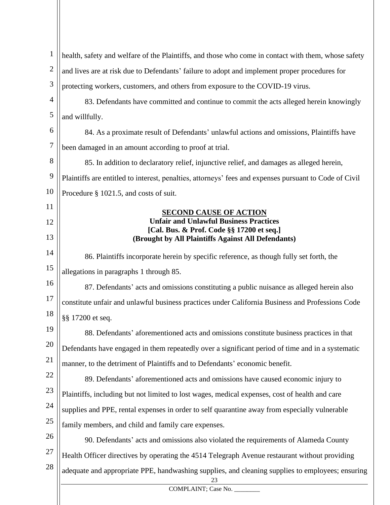| $\mathbf{1}$   | health, safety and welfare of the Plaintiffs, and those who come in contact with them, whose safety    |
|----------------|--------------------------------------------------------------------------------------------------------|
| $\overline{2}$ | and lives are at risk due to Defendants' failure to adopt and implement proper procedures for          |
| 3              | protecting workers, customers, and others from exposure to the COVID-19 virus.                         |
| 4              | 83. Defendants have committed and continue to commit the acts alleged herein knowingly                 |
| 5              | and willfully.                                                                                         |
| 6              | 84. As a proximate result of Defendants' unlawful actions and omissions, Plaintiffs have               |
| 7              | been damaged in an amount according to proof at trial.                                                 |
| 8              | 85. In addition to declaratory relief, injunctive relief, and damages as alleged herein,               |
| 9              | Plaintiffs are entitled to interest, penalties, attorneys' fees and expenses pursuant to Code of Civil |
| 10             | Procedure § 1021.5, and costs of suit.                                                                 |
| 11             | <u>SECOND CAUSE OF ACTION</u>                                                                          |
| 12             | <b>Unfair and Unlawful Business Practices</b>                                                          |
| 13             | [Cal. Bus. & Prof. Code §§ 17200 et seq.]<br>(Brought by All Plaintiffs Against All Defendants)        |
|                |                                                                                                        |
| 14             | 86. Plaintiffs incorporate herein by specific reference, as though fully set forth, the                |
| 15             | allegations in paragraphs 1 through 85.                                                                |
| 16             | 87. Defendants' acts and omissions constituting a public nuisance as alleged herein also               |
| 17             | constitute unfair and unlawful business practices under California Business and Professions Code       |
| 18             | §§ 17200 et seq.                                                                                       |
| 19             | 88. Defendants' aforementioned acts and omissions constitute business practices in that                |
| 20             | Defendants have engaged in them repeatedly over a significant period of time and in a systematic       |
| 21             | manner, to the detriment of Plaintiffs and to Defendants' economic benefit.                            |
| 22             | 89. Defendants' aforementioned acts and omissions have caused economic injury to                       |
| 23             | Plaintiffs, including but not limited to lost wages, medical expenses, cost of health and care         |
| 24             | supplies and PPE, rental expenses in order to self quarantine away from especially vulnerable          |
| 25             | family members, and child and family care expenses.                                                    |
| 26             | 90. Defendants' acts and omissions also violated the requirements of Alameda County                    |
| 27             | Health Officer directives by operating the 4514 Telegraph Avenue restaurant without providing          |
| 28             | adequate and appropriate PPE, handwashing supplies, and cleaning supplies to employees; ensuring       |
|                | COMPLAINT; Case No.                                                                                    |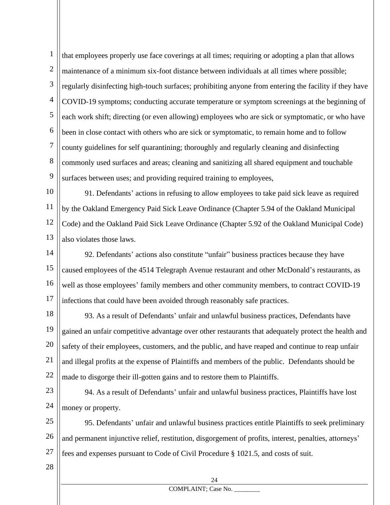1 2 3 4 5 6 7 8 9 that employees properly use face coverings at all times; requiring or adopting a plan that allows maintenance of a minimum six-foot distance between individuals at all times where possible; regularly disinfecting high-touch surfaces; prohibiting anyone from entering the facility if they have COVID-19 symptoms; conducting accurate temperature or symptom screenings at the beginning of each work shift; directing (or even allowing) employees who are sick or symptomatic, or who have been in close contact with others who are sick or symptomatic, to remain home and to follow county guidelines for self quarantining; thoroughly and regularly cleaning and disinfecting commonly used surfaces and areas; cleaning and sanitizing all shared equipment and touchable surfaces between uses; and providing required training to employees,

10 11 12 13 91. Defendants' actions in refusing to allow employees to take paid sick leave as required by the Oakland Emergency Paid Sick Leave Ordinance (Chapter 5.94 of the Oakland Municipal Code) and the Oakland Paid Sick Leave Ordinance (Chapter 5.92 of the Oakland Municipal Code) also violates those laws.

14 15 16 17 92. Defendants' actions also constitute "unfair" business practices because they have caused employees of the 4514 Telegraph Avenue restaurant and other McDonald's restaurants, as well as those employees' family members and other community members, to contract COVID-19 infections that could have been avoided through reasonably safe practices.

18 19 20 21 22 93. As a result of Defendants' unfair and unlawful business practices, Defendants have gained an unfair competitive advantage over other restaurants that adequately protect the health and safety of their employees, customers, and the public, and have reaped and continue to reap unfair and illegal profits at the expense of Plaintiffs and members of the public. Defendants should be made to disgorge their ill-gotten gains and to restore them to Plaintiffs.

23 24 94. As a result of Defendants' unfair and unlawful business practices, Plaintiffs have lost money or property.

25 26 27 95. Defendants' unfair and unlawful business practices entitle Plaintiffs to seek preliminary and permanent injunctive relief, restitution, disgorgement of profits, interest, penalties, attorneys' fees and expenses pursuant to Code of Civil Procedure § 1021.5, and costs of suit.

28

# COMPLAINT; Case No.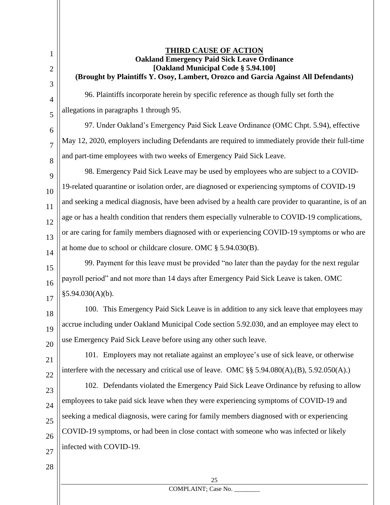3

4

5

6

7

8

9

10

11

12

13

14

18

19

20

21

22

1

## **THIRD CAUSE OF ACTION Oakland Emergency Paid Sick Leave Ordinance [Oakland Municipal Code § 5.94.100] (Brought by Plaintiffs Y. Osoy, Lambert, Orozco and Garcia Against All Defendants)**

96. Plaintiffs incorporate herein by specific reference as though fully set forth the allegations in paragraphs 1 through 95.

97. Under Oakland's Emergency Paid Sick Leave Ordinance (OMC Chpt. 5.94), effective May 12, 2020, employers including Defendants are required to immediately provide their full-time and part-time employees with two weeks of Emergency Paid Sick Leave.

98. Emergency Paid Sick Leave may be used by employees who are subject to a COVID-19-related quarantine or isolation order, are diagnosed or experiencing symptoms of COVID-19 and seeking a medical diagnosis, have been advised by a health care provider to quarantine, is of an age or has a health condition that renders them especially vulnerable to COVID-19 complications, or are caring for family members diagnosed with or experiencing COVID-19 symptoms or who are at home due to school or childcare closure. OMC § 5.94.030(B).

15 16 17 99. Payment for this leave must be provided "no later than the payday for the next regular payroll period" and not more than 14 days after Emergency Paid Sick Leave is taken. OMC  $§5.94.030(A)(b).$ 

100. This Emergency Paid Sick Leave is in addition to any sick leave that employees may accrue including under Oakland Municipal Code section 5.92.030, and an employee may elect to use Emergency Paid Sick Leave before using any other such leave.

101. Employers may not retaliate against an employee's use of sick leave, or otherwise interfere with the necessary and critical use of leave. OMC §§ 5.94.080(A),(B), 5.92.050(A).)

23 24 25 26 27 102. Defendants violated the Emergency Paid Sick Leave Ordinance by refusing to allow employees to take paid sick leave when they were experiencing symptoms of COVID-19 and seeking a medical diagnosis, were caring for family members diagnosed with or experiencing COVID-19 symptoms, or had been in close contact with someone who was infected or likely infected with COVID-19.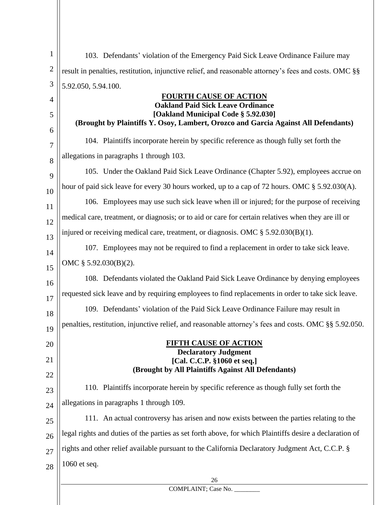| 1            | 103. Defendants' violation of the Emergency Paid Sick Leave Ordinance Failure may                                         |
|--------------|---------------------------------------------------------------------------------------------------------------------------|
| $\mathbf{2}$ | result in penalties, restitution, injunctive relief, and reasonable attorney's fees and costs. OMC §§                     |
| 3            | 5.92.050, 5.94.100.                                                                                                       |
| 4            | <b>FOURTH CAUSE OF ACTION</b><br><b>Oakland Paid Sick Leave Ordinance</b>                                                 |
| 5            | [Oakland Municipal Code § 5.92.030]<br>(Brought by Plaintiffs Y. Osoy, Lambert, Orozco and Garcia Against All Defendants) |
| 6            |                                                                                                                           |
| 7            | 104. Plaintiffs incorporate herein by specific reference as though fully set forth the                                    |
| 8            | allegations in paragraphs 1 through 103.                                                                                  |
| 9            | 105. Under the Oakland Paid Sick Leave Ordinance (Chapter 5.92), employees accrue on                                      |
| 10           | hour of paid sick leave for every 30 hours worked, up to a cap of 72 hours. OMC § 5.92.030(A).                            |
| 11           | 106. Employees may use such sick leave when ill or injured; for the purpose of receiving                                  |
| 12           | medical care, treatment, or diagnosis; or to aid or care for certain relatives when they are ill or                       |
| 13           | injured or receiving medical care, treatment, or diagnosis. OMC $\S$ 5.92.030(B)(1).                                      |
| 14           | 107. Employees may not be required to find a replacement in order to take sick leave.                                     |
| 15           | OMC § 5.92.030(B)(2).                                                                                                     |
| 16           | 108. Defendants violated the Oakland Paid Sick Leave Ordinance by denying employees                                       |
| 17           | requested sick leave and by requiring employees to find replacements in order to take sick leave.                         |
| 18           | 109. Defendants' violation of the Paid Sick Leave Ordinance Failure may result in                                         |
| 19           | penalties, restitution, injunctive relief, and reasonable attorney's fees and costs. OMC §§ 5.92.050.                     |
| 20           | <u>FIFTH CAUSE OF ACTION</u>                                                                                              |
| 21           | <b>Declaratory Judgment</b><br>[Cal. C.C.P. §1060 et seq.]                                                                |
| 22           | (Brought by All Plaintiffs Against All Defendants)                                                                        |
| 23           | 110. Plaintiffs incorporate herein by specific reference as though fully set forth the                                    |
| 24           | allegations in paragraphs 1 through 109.                                                                                  |
| 25           | 111. An actual controversy has arisen and now exists between the parties relating to the                                  |
| 26           | legal rights and duties of the parties as set forth above, for which Plaintiffs desire a declaration of                   |
| 27           | rights and other relief available pursuant to the California Declaratory Judgment Act, C.C.P. §                           |
| 28           | 1060 et seq.                                                                                                              |
|              | 26                                                                                                                        |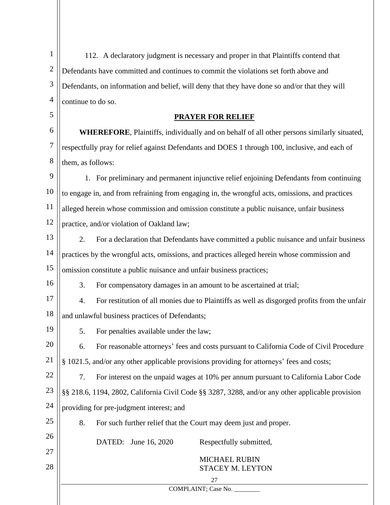| $\mathbf{1}$   | 112. A declaratory judgment is necessary and proper in that Plaintiffs contend that                |
|----------------|----------------------------------------------------------------------------------------------------|
| $\overline{c}$ | Defendants have committed and continues to commit the violations set forth above and               |
| 3              | Defendants, on information and belief, will deny that they have done so and/or that they will      |
| $\overline{4}$ | continue to do so.                                                                                 |
| 5              | <b>PRAYER FOR RELIEF</b>                                                                           |
| 6              | <b>WHEREFORE</b> , Plaintiffs, individually and on behalf of all other persons similarly situated, |
| 7              | respectfully pray for relief against Defendants and DOES 1 through 100, inclusive, and each of     |
| 8              | them, as follows:                                                                                  |
| 9              | 1. For preliminary and permanent injunctive relief enjoining Defendants from continuing            |
| 10             | to engage in, and from refraining from engaging in, the wrongful acts, omissions, and practices    |
| 11             | alleged herein whose commission and omission constitute a public nuisance, unfair business         |
| 12             | practice, and/or violation of Oakland law;                                                         |
| 13             | 2.<br>For a declaration that Defendants have committed a public nuisance and unfair business       |
| 14             | practices by the wrongful acts, omissions, and practices alleged herein whose commission and       |
| 15             | omission constitute a public nuisance and unfair business practices;                               |
| 16             | 3.<br>For compensatory damages in an amount to be ascertained at trial;                            |
| 17             | 4.<br>For restitution of all monies due to Plaintiffs as well as disgorged profits from the unfair |
| 18             | and unlawful business practices of Defendants;                                                     |
| 19             | 5.<br>For penalties available under the law;                                                       |
| 20             | For reasonable attorneys' fees and costs pursuant to California Code of Civil Procedure<br>6.      |
| 21             | § 1021.5, and/or any other applicable provisions providing for attorneys' fees and costs;          |
| 22             | For interest on the unpaid wages at 10% per annum pursuant to California Labor Code<br>7.          |
| 23             | §§ 218.6, 1194, 2802, California Civil Code §§ 3287, 3288, and/or any other applicable provision   |
| 24             | providing for pre-judgment interest; and                                                           |
| 25             | 8.<br>For such further relief that the Court may deem just and proper.                             |
| 26             | DATED: June 16, 2020<br>Respectfully submitted,                                                    |
| 27             | <b>MICHAEL RUBIN</b>                                                                               |
| 28             | STACEY M. LEYTON                                                                                   |
|                | 27<br>COMPLAINT; Case No. ________                                                                 |
|                |                                                                                                    |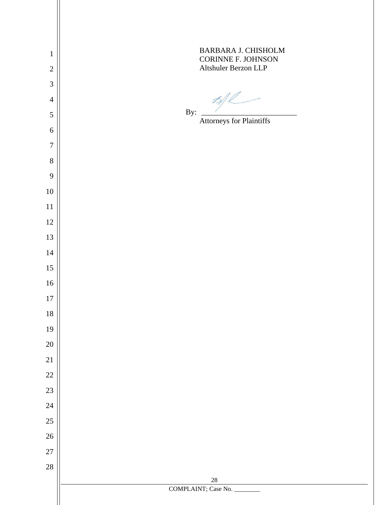